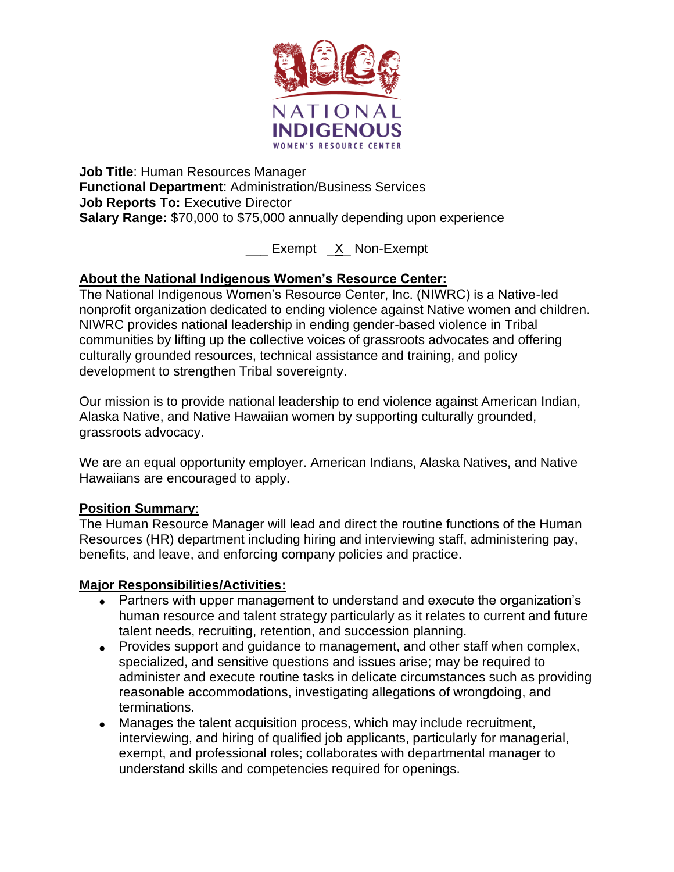

**Job Title**: Human Resources Manager **Functional Department**: Administration/Business Services **Job Reports To:** Executive Director **Salary Range:** \$70,000 to \$75,000 annually depending upon experience

Exempt X Non-Exempt

## **About the National Indigenous Women's Resource Center:**

The National Indigenous Women's Resource Center, Inc. (NIWRC) is a Native-led nonprofit organization dedicated to ending violence against Native women and children. NIWRC provides national leadership in ending gender-based violence in Tribal communities by lifting up the collective voices of grassroots advocates and offering culturally grounded resources, technical assistance and training, and policy development to strengthen Tribal sovereignty.

Our mission is to provide national leadership to end violence against American Indian, Alaska Native, and Native Hawaiian women by supporting culturally grounded, grassroots advocacy.

We are an equal opportunity employer. American Indians, Alaska Natives, and Native Hawaiians are encouraged to apply.

## **Position Summary**:

The Human Resource Manager will lead and direct the routine functions of the Human Resources (HR) department including hiring and interviewing staff, administering pay, benefits, and leave, and enforcing company policies and practice.

#### **Major Responsibilities/Activities:**

- Partners with upper management to understand and execute the organization's human resource and talent strategy particularly as it relates to current and future talent needs, recruiting, retention, and succession planning.
- Provides support and guidance to management, and other staff when complex, specialized, and sensitive questions and issues arise; may be required to administer and execute routine tasks in delicate circumstances such as providing reasonable accommodations, investigating allegations of wrongdoing, and terminations.
- Manages the talent acquisition process, which may include recruitment, interviewing, and hiring of qualified job applicants, particularly for managerial, exempt, and professional roles; collaborates with departmental manager to understand skills and competencies required for openings.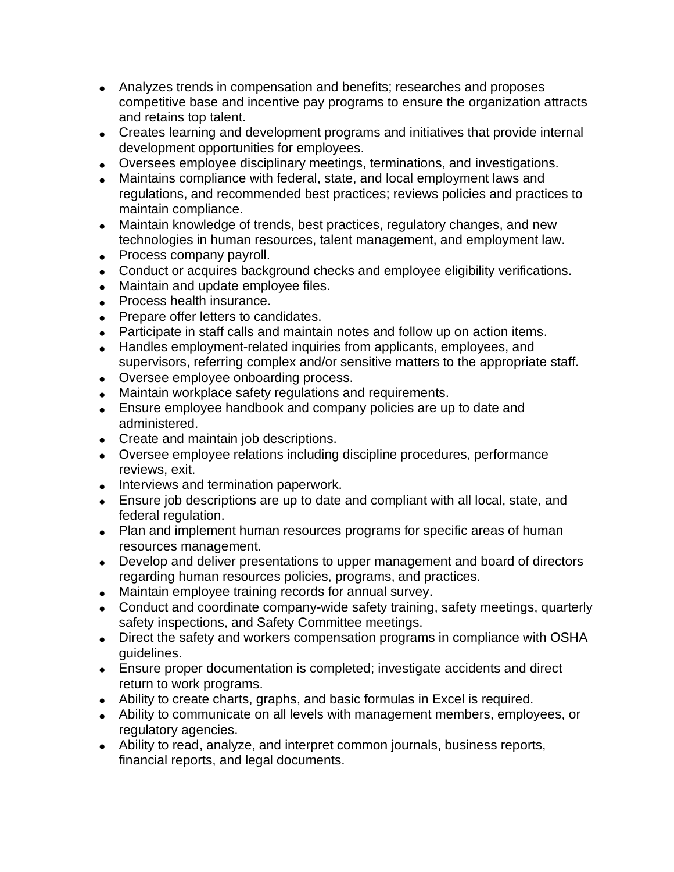- Analyzes trends in compensation and benefits; researches and proposes competitive base and incentive pay programs to ensure the organization attracts and retains top talent.
- Creates learning and development programs and initiatives that provide internal development opportunities for employees.
- Oversees employee disciplinary meetings, terminations, and investigations.
- Maintains compliance with federal, state, and local employment laws and regulations, and recommended best practices; reviews policies and practices to maintain compliance.
- Maintain knowledge of trends, best practices, regulatory changes, and new technologies in human resources, talent management, and employment law.
- Process company payroll.
- Conduct or acquires background checks and employee eligibility verifications.
- Maintain and update employee files.
- Process health insurance.
- Prepare offer letters to candidates.
- Participate in staff calls and maintain notes and follow up on action items.
- Handles employment-related inquiries from applicants, employees, and supervisors, referring complex and/or sensitive matters to the appropriate staff.
- Oversee employee onboarding process.
- Maintain workplace safety regulations and requirements.
- Ensure employee handbook and company policies are up to date and administered.
- Create and maintain job descriptions.
- Oversee employee relations including discipline procedures, performance reviews, exit.
- Interviews and termination paperwork.
- Ensure job descriptions are up to date and compliant with all local, state, and federal regulation.
- Plan and implement human resources programs for specific areas of human resources management.
- Develop and deliver presentations to upper management and board of directors regarding human resources policies, programs, and practices.
- Maintain employee training records for annual survey.
- Conduct and coordinate company-wide safety training, safety meetings, quarterly safety inspections, and Safety Committee meetings.
- Direct the safety and workers compensation programs in compliance with OSHA guidelines.
- Ensure proper documentation is completed; investigate accidents and direct return to work programs.
- Ability to create charts, graphs, and basic formulas in Excel is required.
- Ability to communicate on all levels with management members, employees, or regulatory agencies.
- Ability to read, analyze, and interpret common journals, business reports, financial reports, and legal documents.